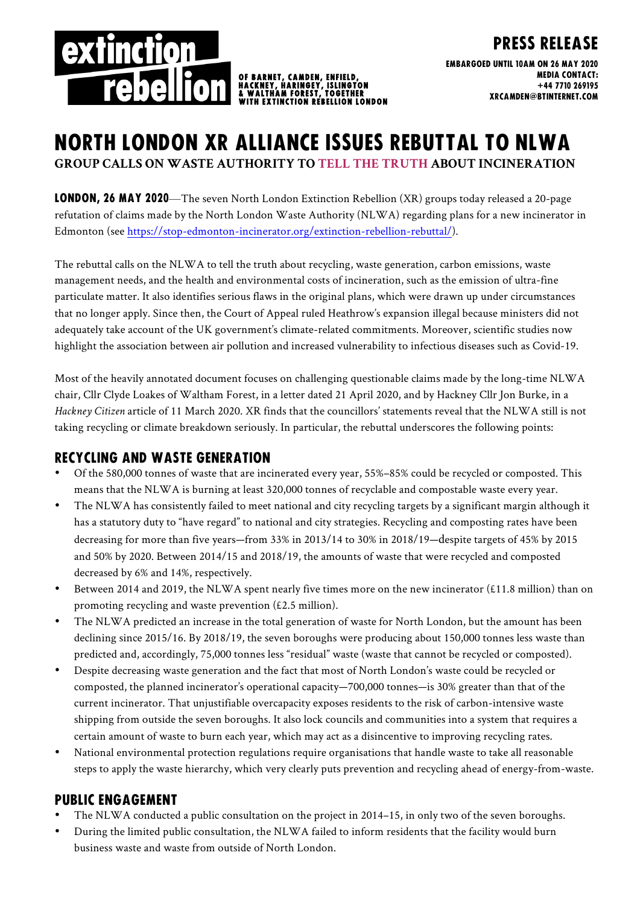

Embargoed until 10AM on 26 may 2020 Media contact: +44 7710 269195 xrcamden@btinternet.com

Press release

# North London xr alliance issues rebuttal to nlwa **GROUP CALLS ON WASTE AUTHORITY TO TELL THE TRUTH ABOUT INCINERATION**

CAMDEN, ENFIELD

**EXTINCTION REBELLION LONDON** 

LONDON, 26 MAY 2020—The seven North London Extinction Rebellion (XR) groups today released a 20-page refutation of claims made by the North London Waste Authority (NLWA) regarding plans for a new incinerator in Edmonton (see https://stop-edmonton-incinerator.org/extinction-rebellion-rebuttal/).

The rebuttal calls on the NLWA to tell the truth about recycling, waste generation, carbon emissions, waste management needs, and the health and environmental costs of incineration, such as the emission of ultra-fine particulate matter. It also identifies serious flaws in the original plans, which were drawn up under circumstances that no longer apply. Since then, the Court of Appeal ruled Heathrow's expansion illegal because ministers did not adequately take account of the UK government's climate-related commitments. Moreover, scientific studies now highlight the association between air pollution and increased vulnerability to infectious diseases such as Covid-19.

Most of the heavily annotated document focuses on challenging questionable claims made by the long-time NLWA chair, Cllr Clyde Loakes of Waltham Forest, in a letter dated 21 April 2020, and by Hackney Cllr Jon Burke, in a *Hackney Citizen* article of 11 March 2020. XR finds that the councillors' statements reveal that the NLWA still is not taking recycling or climate breakdown seriously. In particular, the rebuttal underscores the following points:

### Recycling and waste generation

- Of the 580,000 tonnes of waste that are incinerated every year, 55%–85% could be recycled or composted. This means that the NLWA is burning at least 320,000 tonnes of recyclable and compostable waste every year.
- The NLWA has consistently failed to meet national and city recycling targets by a significant margin although it has a statutory duty to "have regard" to national and city strategies. Recycling and composting rates have been decreasing for more than five years—from 33% in 2013/14 to 30% in 2018/19—despite targets of 45% by 2015 and 50% by 2020. Between 2014/15 and 2018/19, the amounts of waste that were recycled and composted decreased by 6% and 14%, respectively.
- Between 2014 and 2019, the NLWA spent nearly five times more on the new incinerator (£11.8 million) than on promoting recycling and waste prevention (£2.5 million).
- The NLWA predicted an increase in the total generation of waste for North London, but the amount has been declining since 2015/16. By 2018/19, the seven boroughs were producing about 150,000 tonnes less waste than predicted and, accordingly, 75,000 tonnes less "residual" waste (waste that cannot be recycled or composted).
- Despite decreasing waste generation and the fact that most of North London's waste could be recycled or composted, the planned incinerator's operational capacity—700,000 tonnes—is 30% greater than that of the current incinerator. That unjustifiable overcapacity exposes residents to the risk of carbon-intensive waste shipping from outside the seven boroughs. It also lock councils and communities into a system that requires a certain amount of waste to burn each year, which may act as a disincentive to improving recycling rates.
- National environmental protection regulations require organisations that handle waste to take all reasonable steps to apply the waste hierarchy, which very clearly puts prevention and recycling ahead of energy-from-waste.

## Public engagement

- The NLWA conducted a public consultation on the project in 2014–15, in only two of the seven boroughs.
- During the limited public consultation, the NLWA failed to inform residents that the facility would burn business waste and waste from outside of North London.